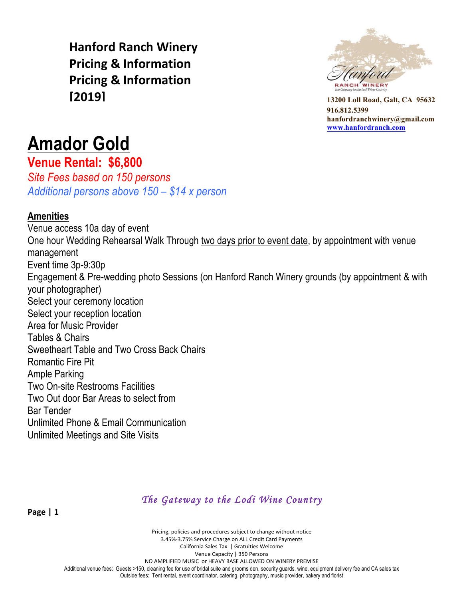**Hanford Ranch Winery Pricing & Information Pricing & Information [2019]**



**13200 Loll Road, Galt, CA 95632 916.812.5399 hanfordranchwinery@gmail.com www.hanfordranch.com**

# **Amador Gold**

**Venue Rental: \$6,800**

*Site Fees based on 150 persons Additional persons above 150 – \$14 x person* 

#### **Amenities**

Venue access 10a day of event One hour Wedding Rehearsal Walk Through two days prior to event date, by appointment with venue management Event time 3p-9:30p Engagement & Pre-wedding photo Sessions (on Hanford Ranch Winery grounds (by appointment & with your photographer) Select your ceremony location Select your reception location Area for Music Provider Tables & Chairs Sweetheart Table and Two Cross Back Chairs Romantic Fire Pit Ample Parking Two On-site Restrooms Facilities Two Out door Bar Areas to select from Bar Tender Unlimited Phone & Email Communication Unlimited Meetings and Site Visits

*The Gateway to the Lodi Wine Country* 

Pricing, policies and procedures subject to change without notice 3.45%-3.75% Service Charge on ALL Credit Card Payments California Sales Tax | Gratuities Welcome Venue Capacity | 350 Persons NO AMPLIFIED MUSIC or HEAVY BASE ALLOWED ON WINERY PREMISE Additional venue fees: Guests >150, cleaning fee for use of bridal suite and grooms den, security guards, wine, equipment delivery fee and CA sales tax Outside fees: Tent rental, event coordinator, catering, photography, music provider, bakery and florist

**Page | 1**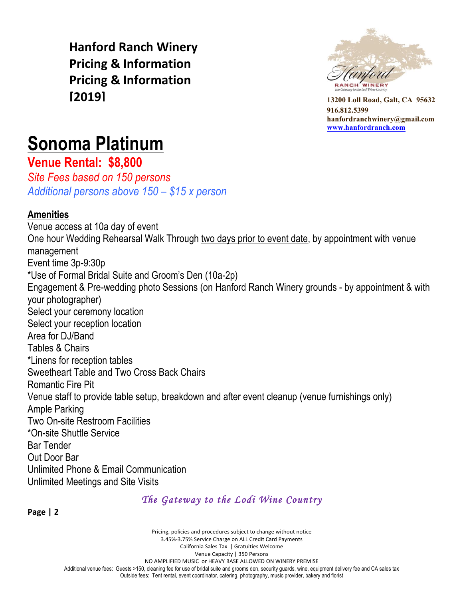**Hanford Ranch Winery Pricing & Information Pricing & Information [2019]**



**13200 Loll Road, Galt, CA 95632 916.812.5399 hanfordranchwinery@gmail.com www.hanfordranch.com**

# **Sonoma Platinum**

**Venue Rental: \$8,800**

*Site Fees based on 150 persons Additional persons above 150 – \$15 x person* 

#### **Amenities**

Venue access at 10a day of event One hour Wedding Rehearsal Walk Through two days prior to event date, by appointment with venue management Event time 3p-9:30p \*Use of Formal Bridal Suite and Groom's Den (10a-2p) Engagement & Pre-wedding photo Sessions (on Hanford Ranch Winery grounds - by appointment & with your photographer) Select your ceremony location Select your reception location Area for DJ/Band Tables & Chairs \*Linens for reception tables Sweetheart Table and Two Cross Back Chairs Romantic Fire Pit Venue staff to provide table setup, breakdown and after event cleanup (venue furnishings only) Ample Parking Two On-site Restroom Facilities \*On-site Shuttle Service Bar Tender Out Door Bar Unlimited Phone & Email Communication Unlimited Meetings and Site Visits

#### *The Gateway to the Lodi Wine Country*

**Page | 2**

Pricing, policies and procedures subject to change without notice 3.45%-3.75% Service Charge on ALL Credit Card Payments California Sales Tax | Gratuities Welcome Venue Capacity | 350 Persons NO AMPLIFIED MUSIC or HEAVY BASE ALLOWED ON WINERY PREMISE Additional venue fees: Guests >150, cleaning fee for use of bridal suite and grooms den, security guards, wine, equipment delivery fee and CA sales tax Outside fees: Tent rental, event coordinator, catering, photography, music provider, bakery and florist